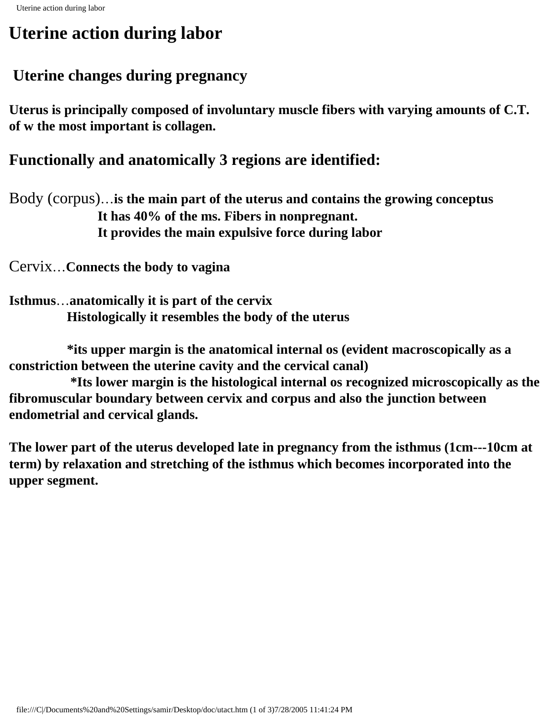# **Uterine action during labor**

## **Uterine changes during pregnancy**

**Uterus is principally composed of involuntary muscle fibers with varying amounts of C.T. of w the most important is collagen.**

## **Functionally and anatomically 3 regions are identified:**

Body (corpus)…**is the main part of the uterus and contains the growing conceptus It has 40% of the ms. Fibers in nonpregnant. It provides the main expulsive force during labor**

Cervix…**Connects the body to vagina**

**Isthmus**…**anatomically it is part of the cervix Histologically it resembles the body of the uterus**

 **\*its upper margin is the anatomical internal os (evident macroscopically as a constriction between the uterine cavity and the cervical canal)**

 **\*Its lower margin is the histological internal os recognized microscopically as the fibromuscular boundary between cervix and corpus and also the junction between endometrial and cervical glands.**

**The lower part of the uterus developed late in pregnancy from the isthmus (1cm---10cm at term) by relaxation and stretching of the isthmus which becomes incorporated into the upper segment.**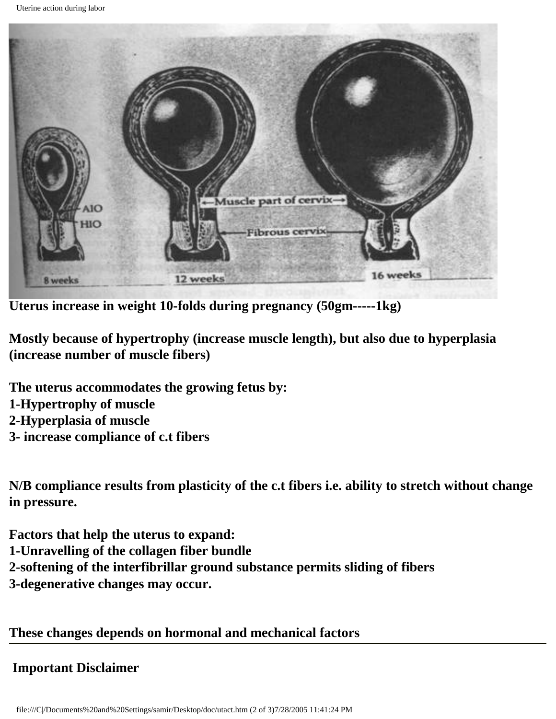

**Uterus increase in weight 10-folds during pregnancy (50gm-----1kg)**

**Mostly because of hypertrophy (increase muscle length), but also due to hyperplasia (increase number of muscle fibers)**

**The uterus accommodates the growing fetus by: 1-Hypertrophy of muscle 2-Hyperplasia of muscle 3- increase compliance of c.t fibers**

**N/B compliance results from plasticity of the c.t fibers i.e. ability to stretch without change in pressure.**

**Factors that help the uterus to expand: 1-Unravelling of the collagen fiber bundle 2-softening of the interfibrillar ground substance permits sliding of fibers 3-degenerative changes may occur.**

### **These changes depends on hormonal and mechanical factors**

### **Important Disclaimer**